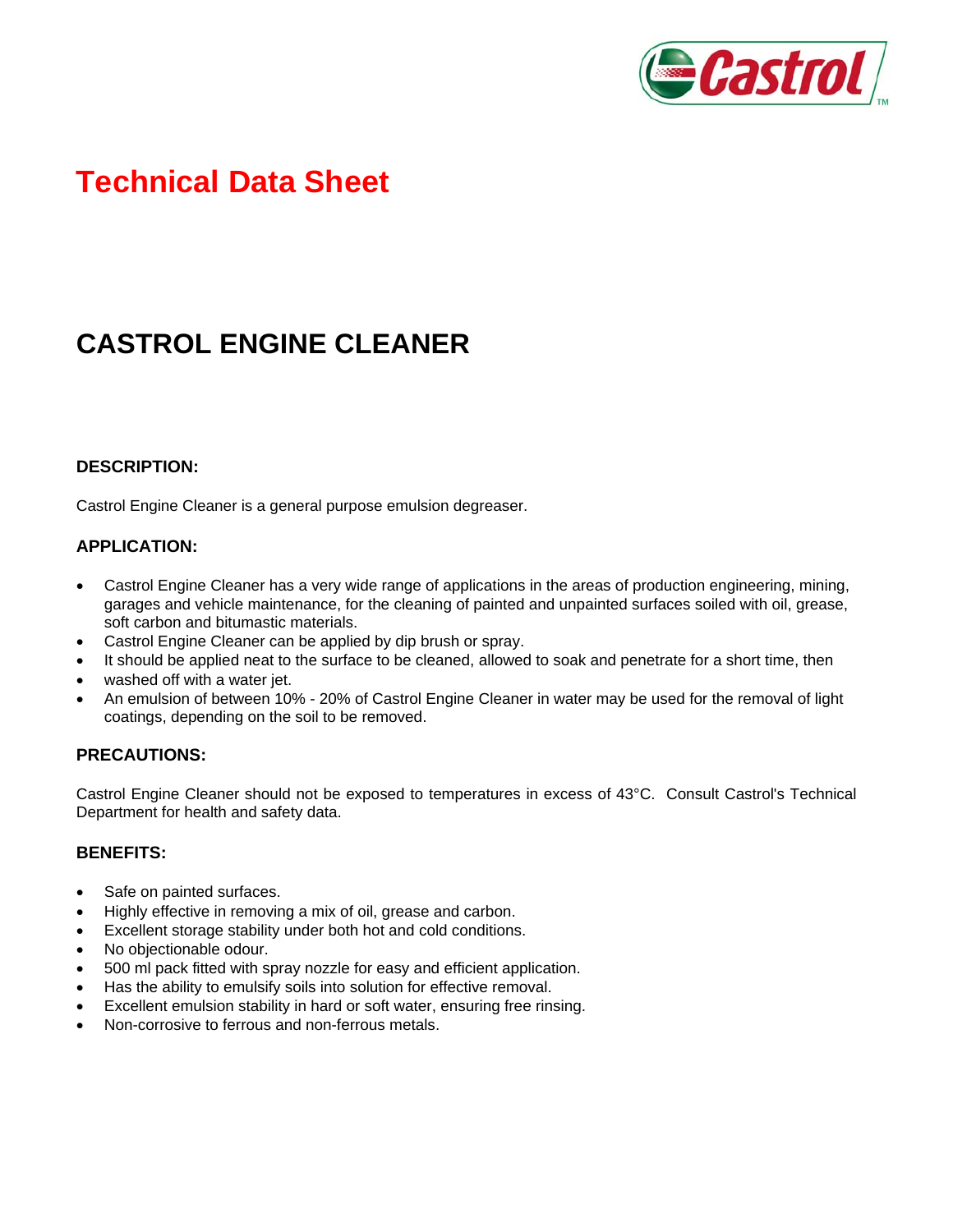

# **Technical Data Sheet**

## **CASTROL ENGINE CLEANER**

### **DESCRIPTION:**

Castrol Engine Cleaner is a general purpose emulsion degreaser.

#### **APPLICATION:**

- Castrol Engine Cleaner has a very wide range of applications in the areas of production engineering, mining, garages and vehicle maintenance, for the cleaning of painted and unpainted surfaces soiled with oil, grease, soft carbon and bitumastic materials.
- Castrol Engine Cleaner can be applied by dip brush or spray.
- It should be applied neat to the surface to be cleaned, allowed to soak and penetrate for a short time, then
- washed off with a water jet.
- An emulsion of between 10% 20% of Castrol Engine Cleaner in water may be used for the removal of light coatings, depending on the soil to be removed.

### **PRECAUTIONS:**

Castrol Engine Cleaner should not be exposed to temperatures in excess of 43°C. Consult Castrol's Technical Department for health and safety data.

#### **BENEFITS:**

- Safe on painted surfaces.
- Highly effective in removing a mix of oil, grease and carbon.
- Excellent storage stability under both hot and cold conditions.
- No objectionable odour.
- 500 ml pack fitted with spray nozzle for easy and efficient application.
- Has the ability to emulsify soils into solution for effective removal.
- Excellent emulsion stability in hard or soft water, ensuring free rinsing.
- Non-corrosive to ferrous and non-ferrous metals.